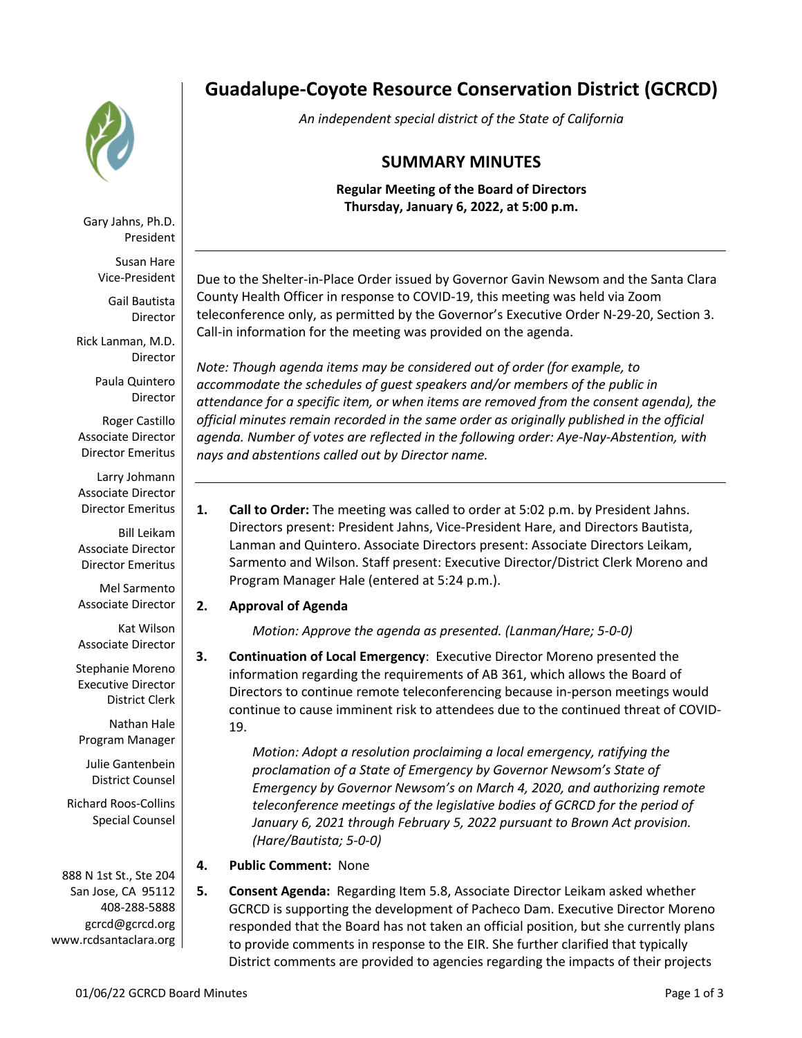

Gary Jahns, Ph.D. President

Susan Hare Vice-President

Gail Bautista Director

Rick Lanman, M.D. Director

> Paula Quintero Director

Roger Castillo Associate Director Director Emeritus

Larry Johmann Associate Director Director Emeritus

Bill Leikam Associate Director Director Emeritus

Mel Sarmento Associate Director

Kat Wilson Associate Director

Stephanie Moreno Executive Director District Clerk

Nathan Hale Program Manager

Julie Gantenbein District Counsel

Richard Roos-Collins Special Counsel

888 N 1st St., Ste 204 San Jose, CA 95112 408-288-5888 gcrcd@gcrcd.org www.rcdsantaclara.org

# **Guadalupe-Coyote Resource Conservation District (GCRCD)**

*An independent special district of the State of California*

# **SUMMARY MINUTES**

**Regular Meeting of the Board of Directors Thursday, January 6, 2022, at 5:00 p.m.**

Due to the Shelter-in-Place Order issued by Governor Gavin Newsom and the Santa Clara County Health Officer in response to COVID-19, this meeting was held via Zoom teleconference only, as permitted by the Governor's Executive Order N-29-20, Section 3. Call-in information for the meeting was provided on the agenda.

*Note: Though agenda items may be considered out of order (for example, to accommodate the schedules of guest speakers and/or members of the public in attendance for a specific item, or when items are removed from the consent agenda), the official minutes remain recorded in the same order as originally published in the official agenda. Number of votes are reflected in the following order: Aye-Nay-Abstention, with nays and abstentions called out by Director name.*

**1. Call to Order:** The meeting was called to order at 5:02 p.m. by President Jahns. Directors present: President Jahns, Vice-President Hare, and Directors Bautista, Lanman and Quintero. Associate Directors present: Associate Directors Leikam, Sarmento and Wilson. Staff present: Executive Director/District Clerk Moreno and Program Manager Hale (entered at 5:24 p.m.).

## **2. Approval of Agenda**

*Motion: Approve the agenda as presented. (Lanman/Hare; 5-0-0)*

**3. Continuation of Local Emergency**: Executive Director Moreno presented the information regarding the requirements of AB 361, which allows the Board of Directors to continue remote teleconferencing because in-person meetings would continue to cause imminent risk to attendees due to the continued threat of COVID-19.

> *Motion: Adopt a resolution proclaiming a local emergency, ratifying the proclamation of a State of Emergency by Governor Newsom's State of Emergency by Governor Newsom's on March 4, 2020, and authorizing remote teleconference meetings of the legislative bodies of GCRCD for the period of January 6, 2021 through February 5, 2022 pursuant to Brown Act provision. (Hare/Bautista; 5-0-0)*

- **4. Public Comment:** None
- **5. Consent Agenda:** Regarding Item 5.8, Associate Director Leikam asked whether GCRCD is supporting the development of Pacheco Dam. Executive Director Moreno responded that the Board has not taken an official position, but she currently plans to provide comments in response to the EIR. She further clarified that typically District comments are provided to agencies regarding the impacts of their projects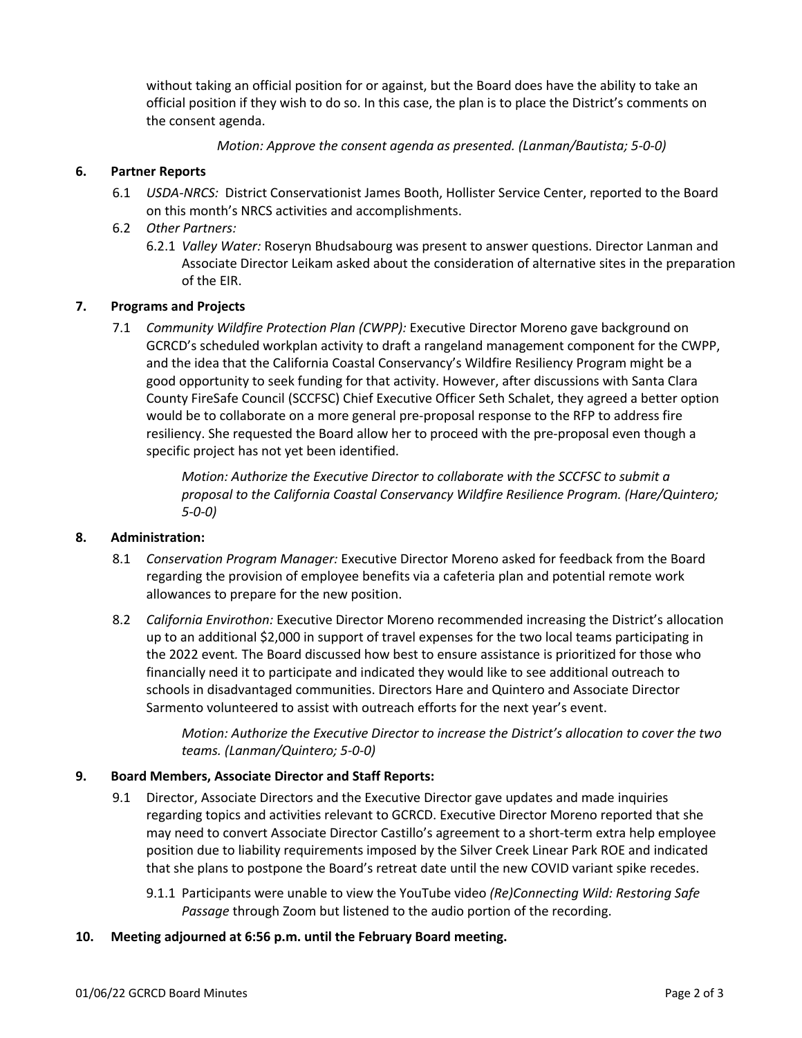without taking an official position for or against, but the Board does have the ability to take an official position if they wish to do so. In this case, the plan is to place the District's comments on the consent agenda.

*Motion: Approve the consent agenda as presented. (Lanman/Bautista; 5-0-0)*

#### **6. Partner Reports**

- 6.1 *USDA-NRCS:* District Conservationist James Booth, Hollister Service Center, reported to the Board on this month's NRCS activities and accomplishments.
- 6.2 *Other Partners:* 
	- 6.2.1 *Valley Water:* Roseryn Bhudsabourg was present to answer questions. Director Lanman and Associate Director Leikam asked about the consideration of alternative sites in the preparation of the EIR.

#### **7. Programs and Projects**

7.1 *Community Wildfire Protection Plan (CWPP):* Executive Director Moreno gave background on GCRCD's scheduled workplan activity to draft a rangeland management component for the CWPP, and the idea that the California Coastal Conservancy's Wildfire Resiliency Program might be a good opportunity to seek funding for that activity. However, after discussions with Santa Clara County FireSafe Council (SCCFSC) Chief Executive Officer Seth Schalet, they agreed a better option would be to collaborate on a more general pre-proposal response to the RFP to address fire resiliency. She requested the Board allow her to proceed with the pre-proposal even though a specific project has not yet been identified.

> *Motion: Authorize the Executive Director to collaborate with the SCCFSC to submit a proposal to the California Coastal Conservancy Wildfire Resilience Program. (Hare/Quintero; 5-0-0)*

#### **8. Administration:**

- 8.1 *Conservation Program Manager:* Executive Director Moreno asked for feedback from the Board regarding the provision of employee benefits via a cafeteria plan and potential remote work allowances to prepare for the new position.
- 8.2 *California Envirothon:* Executive Director Moreno recommended increasing the District's allocation up to an additional \$2,000 in support of travel expenses for the two local teams participating in the 2022 event*.* The Board discussed how best to ensure assistance is prioritized for those who financially need it to participate and indicated they would like to see additional outreach to schools in disadvantaged communities. Directors Hare and Quintero and Associate Director Sarmento volunteered to assist with outreach efforts for the next year's event.

*Motion: Authorize the Executive Director to increase the District's allocation to cover the two teams. (Lanman/Quintero; 5-0-0)*

#### **9. Board Members, Associate Director and Staff Reports:**

- 9.1 Director, Associate Directors and the Executive Director gave updates and made inquiries regarding topics and activities relevant to GCRCD. Executive Director Moreno reported that she may need to convert Associate Director Castillo's agreement to a short-term extra help employee position due to liability requirements imposed by the Silver Creek Linear Park ROE and indicated that she plans to postpone the Board's retreat date until the new COVID variant spike recedes.
	- 9.1.1 Participants were unable to view the YouTube video *(Re)Connecting Wild: Restoring Safe Passage* through Zoom but listened to the audio portion of the recording.

#### **10. Meeting adjourned at 6:56 p.m. until the February Board meeting.**